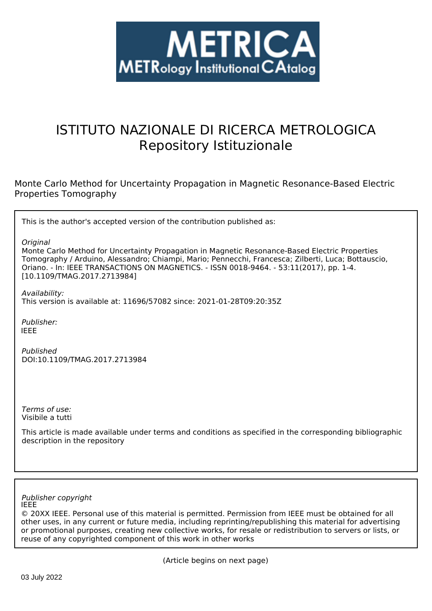

# ISTITUTO NAZIONALE DI RICERCA METROLOGICA Repository Istituzionale

Monte Carlo Method for Uncertainty Propagation in Magnetic Resonance-Based Electric Properties Tomography

This is the author's accepted version of the contribution published as:

*Original*

Monte Carlo Method for Uncertainty Propagation in Magnetic Resonance-Based Electric Properties Tomography / Arduino, Alessandro; Chiampi, Mario; Pennecchi, Francesca; Zilberti, Luca; Bottauscio, Oriano. - In: IEEE TRANSACTIONS ON MAGNETICS. - ISSN 0018-9464. - 53:11(2017), pp. 1-4. [10.1109/TMAG.2017.2713984]

*Availability:* This version is available at: 11696/57082 since: 2021-01-28T09:20:35Z

*Publisher:* IEEE

*Published* DOI:10.1109/TMAG.2017.2713984

*Terms of use:* Visibile a tutti

This article is made available under terms and conditions as specified in the corresponding bibliographic description in the repository

#### IEEE *Publisher copyright*

© 20XX IEEE. Personal use of this material is permitted. Permission from IEEE must be obtained for all other uses, in any current or future media, including reprinting/republishing this material for advertising or promotional purposes, creating new collective works, for resale or redistribution to servers or lists, or reuse of any copyrighted component of this work in other works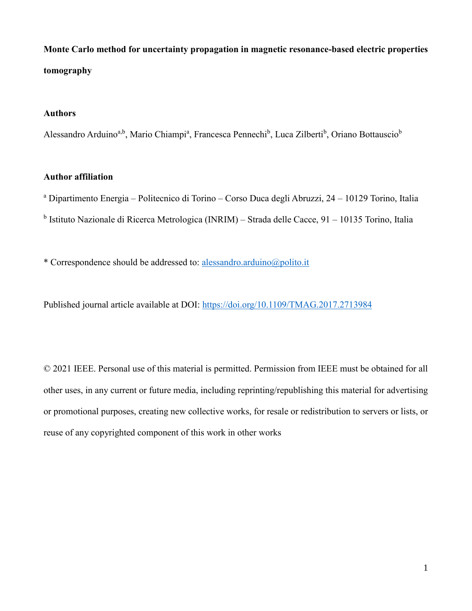**Monte Carlo method for uncertainty propagation in magnetic resonance-based electric properties tomography**

# **Authors**

Alessandro Arduino<sup>a,b</sup>, Mario Chiampi<sup>a</sup>, Francesca Pennechi<sup>b</sup>, Luca Zilberti<sup>b</sup>, Oriano Bottauscio<sup>b</sup>

## **Author affiliation**

<sup>a</sup> Dipartimento Energia – Politecnico di Torino – Corso Duca degli Abruzzi, 24 – 10129 Torino, Italia <sup>b</sup> Istituto Nazionale di Ricerca Metrologica (INRIM) – Strada delle Cacce, 91 – 10135 Torino, Italia

\* Correspondence should be addressed to: alessandro.arduino@polito.it

Published journal article available at DOI: https://doi.org/10.1109/TMAG.2017.2713984

© 2021 IEEE. Personal use of this material is permitted. Permission from IEEE must be obtained for all other uses, in any current or future media, including reprinting/republishing this material for advertising or promotional purposes, creating new collective works, for resale or redistribution to servers or lists, or reuse of any copyrighted component of this work in other works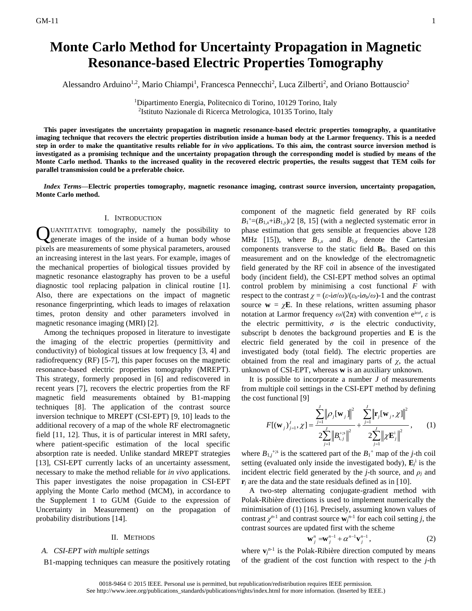Alessandro Arduino<sup>1,2</sup>, Mario Chiampi<sup>1</sup>, Francesca Pennecchi<sup>2</sup>, Luca Zilberti<sup>2</sup>, and Oriano Bottauscio<sup>2</sup>

<sup>1</sup>Dipartimento Energia, Politecnico di Torino, 10129 Torino, Italy 2 Istituto Nazionale di Ricerca Metrologica, 10135 Torino, Italy

**This paper investigates the uncertainty propagation in magnetic resonance-based electric properties tomography, a quantitative imaging technique that recovers the electric properties distribution inside a human body at the Larmor frequency. This is a needed step in order to make the quantitative results reliable for** *in vivo* **applications. To this aim, the contrast source inversion method is investigated as a promising technique and the uncertainty propagation through the corresponding model is studied by means of the Monte Carlo method. Thanks to the increased quality in the recovered electric properties, the results suggest that TEM coils for parallel transmission could be a preferable choice.**

*Index Terms***—Electric properties tomography, magnetic resonance imaging, contrast source inversion, uncertainty propagation, Monte Carlo method.**

#### I. INTRODUCTION

UANTITATIVE tomography, namely the possibility to QUANTITATIVE tomography, namely the possibility to generate images of the inside of a human body whose pixels are measurements of some physical parameters, aroused an increasing interest in the last years. For example, images of the mechanical properties of biological tissues provided by magnetic resonance elastography has proven to be a useful diagnostic tool replacing palpation in clinical routine [1]. Also, there are expectations on the impact of magnetic resonance fingerprinting, which leads to images of relaxation times, proton density and other parameters involved in magnetic resonance imaging (MRI) [2].

Among the techniques proposed in literature to investigate the imaging of the electric properties (permittivity and conductivity) of biological tissues at low frequency [3, 4] and radiofrequency (RF) [5-7], this paper focuses on the magnetic resonance-based electric properties tomography (MREPT). This strategy, formerly proposed in [6] and rediscovered in recent years [7], recovers the electric properties from the RF magnetic field measurements obtained by B1-mapping techniques [8]. The application of the contrast source inversion technique to MREPT (CSI-EPT) [9, 10] leads to the additional recovery of a map of the whole RF electromagnetic field [11, 12]. Thus, it is of particular interest in MRI safety, where patient-specific estimation of the local specific absorption rate is needed. Unlike standard MREPT strategies [13], CSI-EPT currently lacks of an uncertainty assessment, necessary to make the method reliable for *in vivo* applications. This paper investigates the noise propagation in CSI-EPT applying the Monte Carlo method (MCM), in accordance to the Supplement 1 to GUM (Guide to the expression of Uncertainty in Measurement) on the propagation of probability distributions [14].

#### II. METHODS

#### *A. CSI-EPT with multiple settings*

B1-mapping techniques can measure the positively rotating

component of the magnetic field generated by RF coils  $B_1^+=(B_{1,x}+iB_{1,y})/2$  [8, 15] (with a neglected systematic error in phase estimation that gets sensible at frequencies above 128 MHz [15]), where  $B_{1,x}$  and  $B_{1,y}$  denote the Cartesian components transverse to the static field **B**0. Based on this measurement and on the knowledge of the electromagnetic field generated by the RF coil in absence of the investigated body (incident field), the CSI-EPT method solves an optimal control problem by minimising a cost functional *F* with respect to the contrast *χ* =  $(\varepsilon \text{-} i \sigma/\omega)/(\varepsilon_b \text{-} i \sigma_b/\omega)$ -1 and the contrast source  $\mathbf{w} = \chi \mathbf{E}$ . In these relations, written assuming phasor notation at Larmor frequency  $ω/(2π)$  with convention  $e^{iωt}$ , *ε* is the electric permittivity,  $\sigma$  is the electric conductivity, subscript b denotes the background properties and **E** is the electric field generated by the coil in presence of the investigated body (total field). The electric properties are obtained from the real and imaginary parts of  $\chi$ , the actual unknown of CSI-EPT, whereas **w** is an auxiliary unknown.

It is possible to incorporate a number *J* of measurements from multiple coil settings in the CSI-EPT method by defining the cost functional [9]

t functional [9]  
\n
$$
F[(\mathbf{w}_{j})_{j=1}^{J}, \chi] = \frac{\sum_{j=1}^{J} ||\rho_{j}[\mathbf{w}_{j}]]|^{2}}{2\sum_{j=1}^{J} ||B_{1,j}^{+;s}||^{2}} + \frac{\sum_{j=1}^{J} ||\mathbf{r}_{j}[\mathbf{w}_{j}, \chi]||^{2}}{2\sum_{j=1}^{J} ||\chi \mathbf{E}_{j}^{i}||^{2}},
$$
\n(1)

where  $B_{1,j}$ <sup>+;s</sup> is the scattered part of the  $B_1$ <sup>+</sup> map of the *j*-th coil setting (evaluated only inside the investigated body),  $\mathbf{E}_j^i$  is the incident electric field generated by the *j*-th source, and  $\rho_i$  and  $\mathbf{r}_i$  are the data and the state residuals defined as in [10].

A two-step alternating conjugate-gradient method with Polak-Ribière directions is used to implement numerically the minimisation of (1) [16]. Precisely, assuming known values of contrast  $\chi^{n-1}$  and contrast source  $\mathbf{w}^{n-1}$  for each coil setting *j*, the contrast sources are updated first with the scheme

$$
\mathbf{w}_{j}^{n} = \mathbf{w}_{j}^{n-1} + \alpha^{n-1} \mathbf{v}_{j}^{n-1}, \qquad (2)
$$

where  $\mathbf{v}^{n-1}$  is the Polak-Ribière direction computed by means of the gradient of the cost function with respect to the *j*-th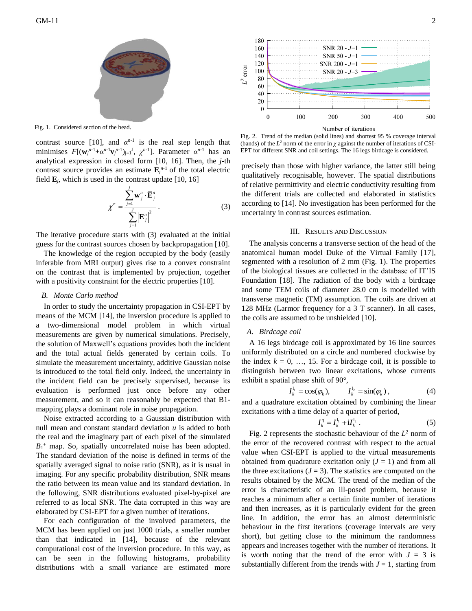

Fig. 1. Considered section of the head.

contrast source [10], and  $\alpha^{n-1}$  is the real step length that minimises  $F[(\mathbf{w}_j^{n-1}+\alpha^{n-1}\mathbf{v}_j^{n-1})_{j=1}^{\mathrm{I}}, \chi^{n-1}]$ . Parameter  $\alpha^{n-1}$  has an analytical expression in closed form [10, 16]. Then, the *j*-th contrast source provides an estimate  $\mathbf{E}_{i}^{n-1}$  of the total electric field **E***j*, which is used in the contrast update [10, 16]

$$
\chi^{n} = \frac{\sum_{j=1}^{J} \mathbf{w}_{j}^{n} \cdot \overline{\mathbf{E}}_{j}^{n}}{\sum_{j=1}^{J} |\mathbf{E}_{j}^{n}|^{2}}.
$$
 (3)

The iterative procedure starts with (3) evaluated at the initial guess for the contrast sources chosen by backpropagation [10].

The knowledge of the region occupied by the body (easily inferable from MRI output) gives rise to a convex constraint on the contrast that is implemented by projection, together with a positivity constraint for the electric properties [10].

#### *B. Monte Carlo method*

In order to study the uncertainty propagation in CSI-EPT by means of the MCM [14], the inversion procedure is applied to a two-dimensional model problem in which virtual measurements are given by numerical simulations. Precisely, the solution of Maxwell's equations provides both the incident and the total actual fields generated by certain coils. To simulate the measurement uncertainty, additive Gaussian noise is introduced to the total field only. Indeed, the uncertainty in the incident field can be precisely supervised, because its evaluation is performed just once before any other measurement, and so it can reasonably be expected that B1 mapping plays a dominant role in noise propagation.

Noise extracted according to a Gaussian distribution with null mean and constant standard deviation *u* is added to both the real and the imaginary part of each pixel of the simulated  $B_1$ <sup>+</sup> map. So, spatially uncorrelated noise has been adopted. The standard deviation of the noise is defined in terms of the spatially averaged signal to noise ratio (SNR), as it is usual in imaging. For any specific probability distribution, SNR means the ratio between its mean value and its standard deviation. In the following, SNR distributions evaluated pixel-by-pixel are referred to as local SNR. The data corrupted in this way are elaborated by CSI-EPT for a given number of iterations.

For each configuration of the involved parameters, the MCM has been applied on just 1000 trials, a smaller number than that indicated in [14], because of the relevant computational cost of the inversion procedure. In this way, as can be seen in the following histograms, probability distributions with a small variance are estimated more



Fig. 2. Trend of the median (solid lines) and shortest 95 % coverage interval (bands) of the  $L^2$  norm of the error in  $\chi$  against the number of iterations of CSI-EPT for different SNR and coil settings. The 16 legs birdcage is considered.

precisely than those with higher variance, the latter still being qualitatively recognisable, however. The spatial distributions of relative permittivity and electric conductivity resulting from the different trials are collected and elaborated in statistics according to [14]. No investigation has been performed for the uncertainty in contrast sources estimation.

#### III. RESULTS AND DISCUSSION

The analysis concerns a transverse section of the head of the anatomical human model Duke of the Virtual Family [17], segmented with a resolution of 2 mm (Fig. 1). The properties of the biological tissues are collected in the database of IT'IS Foundation [18]. The radiation of the body with a birdcage and some TEM coils of diameter 28.0 cm is modelled with transverse magnetic (TM) assumption. The coils are driven at 128 MHz (Larmor frequency for a 3 T scanner). In all cases, the coils are assumed to be unshielded [10].

#### *A. Birdcage coil*

A 16 legs birdcage coil is approximated by 16 line sources uniformly distributed on a circle and numbered clockwise by the index  $k = 0, \ldots, 15$ . For a birdcage coil, it is possible to distinguish between two linear excitations, whose currents exhibit a spatial phase shift of 90°,

$$
I_k^{l_1} = \cos(\phi_k), \qquad I_k^{l_2} = \sin(\phi_k), \qquad (4)
$$

and a quadrature excitation obtained by combining the linear excitations with a time delay of a quarter of period,

$$
I_k^{\rm q} = I_k^{\rm l_1} + iI_k^{\rm l_2} \ . \tag{5}
$$

Fig. 2 represents the stochastic behaviour of the  $L^2$  norm of the error of the recovered contrast with respect to the actual value when CSI-EPT is applied to the virtual measurements obtained from quadrature excitation only  $(J = 1)$  and from all the three excitations  $(J = 3)$ . The statistics are computed on the results obtained by the MCM. The trend of the median of the error is characteristic of an ill-posed problem, because it reaches a minimum after a certain finite number of iterations and then increases, as it is particularly evident for the green line. In addition, the error has an almost deterministic behaviour in the first iterations (coverage intervals are very short), but getting close to the minimum the randomness appears and increases together with the number of iterations. It is worth noting that the trend of the error with  $J = 3$  is substantially different from the trends with  $J = 1$ , starting from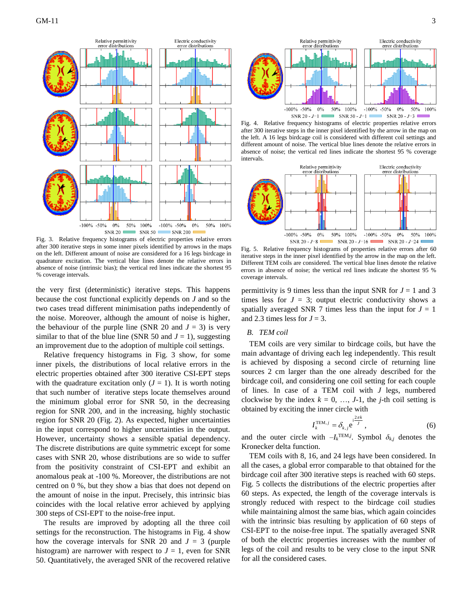

Fig. 3. Relative frequency histograms of electric properties relative errors after 300 iterative steps in some inner pixels identified by arrows in the maps on the left. Different amount of noise are considered for a 16 legs birdcage in quadrature excitation. The vertical blue lines denote the relative errors in absence of noise (intrinsic bias); the vertical red lines indicate the shortest 95 % coverage intervals.

the very first (deterministic) iterative steps. This happens because the cost functional explicitly depends on *J* and so the two cases tread different minimisation paths independently of the noise. Moreover, although the amount of noise is higher, the behaviour of the purple line (SNR 20 and  $J = 3$ ) is very similar to that of the blue line (SNR 50 and  $J = 1$ ), suggesting an improvement due to the adoption of multiple coil settings.

Relative frequency histograms in Fig. 3 show, for some inner pixels, the distributions of local relative errors in the electric properties obtained after 300 iterative CSI-EPT steps with the quadrature excitation only  $(J = 1)$ . It is worth noting that such number of iterative steps locate themselves around the minimum global error for SNR 50, in the decreasing region for SNR 200, and in the increasing, highly stochastic region for SNR 20 (Fig. 2). As expected, higher uncertainties in the input correspond to higher uncertainties in the output. However, uncertainty shows a sensible spatial dependency. The discrete distributions are quite symmetric except for some cases with SNR 20, whose distributions are so wide to suffer from the positivity constraint of CSI-EPT and exhibit an anomalous peak at -100 %. Moreover, the distributions are not centred on 0 %, but they show a bias that does not depend on the amount of noise in the input. Precisely, this intrinsic bias coincides with the local relative error achieved by applying 300 steps of CSI-EPT to the noise-free input.

The results are improved by adopting all the three coil settings for the reconstruction. The histograms in Fig. 4 show how the coverage intervals for SNR 20 and  $J = 3$  (purple histogram) are narrower with respect to  $J = 1$ , even for SNR 50. Quantitatively, the averaged SNR of the recovered relative



Fig. 4. Relative frequency histograms of electric properties relative errors after 300 iterative steps in the inner pixel identified by the arrow in the map on the left. A 16 legs birdcage coil is considered with different coil settings and different amount of noise. The vertical blue lines denote the relative errors in absence of noise; the vertical red lines indicate the shortest 95 % coverage intervals.



Fig. 5. Relative frequency histograms of properties relative errors after 60 iterative steps in the inner pixel identified by the arrow in the map on the left. Different TEM coils are considered. The vertical blue lines denote the relative errors in absence of noise; the vertical red lines indicate the shortest 95 % coverage intervals.

permittivity is 9 times less than the input SNR for  $J = 1$  and 3 times less for  $J = 3$ ; output electric conductivity shows a spatially averaged SNR 7 times less than the input for  $J = 1$ and 2.3 times less for  $J = 3$ .

## *B. TEM coil*

TEM coils are very similar to birdcage coils, but have the main advantage of driving each leg independently. This result is achieved by disposing a second circle of returning line sources 2 cm larger than the one already described for the birdcage coil, and considering one coil setting for each couple of lines. In case of a TEM coil with *J* legs, numbered clockwise by the index  $k = 0, ..., J-1$ , the *j*-th coil setting is obtained by exciting the inner circle with

$$
I_k^{\text{TEM},j} = \delta_{k,j} e^{\mathrm{i} \frac{2\pi k}{J}},\tag{6}
$$

and the outer circle with  $-I_k^{\text{TEM},j}$ . Symbol  $\delta_{k,j}$  denotes the Kronecker delta function.

TEM coils with 8, 16, and 24 legs have been considered. In all the cases, a global error comparable to that obtained for the birdcage coil after 300 iterative steps is reached with 60 steps. Fig. 5 collects the distributions of the electric properties after 60 steps. As expected, the length of the coverage intervals is strongly reduced with respect to the birdcage coil studies while maintaining almost the same bias, which again coincides with the intrinsic bias resulting by application of 60 steps of CSI-EPT to the noise-free input. The spatially averaged SNR of both the electric properties increases with the number of legs of the coil and results to be very close to the input SNR for all the considered cases.